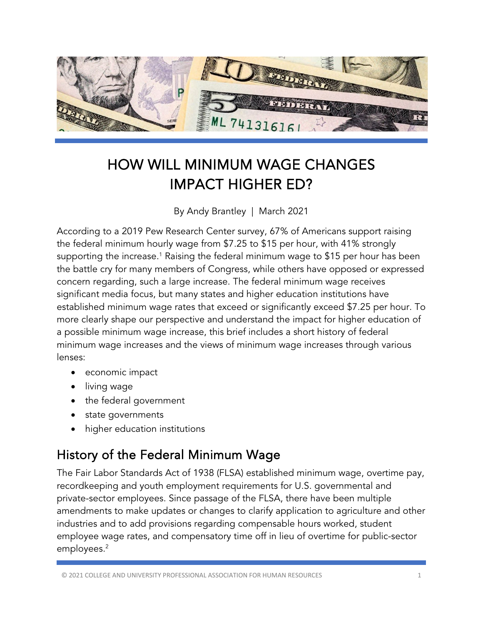

# HOW WILL MINIMUM WAGE CHANGES IMPACT HIGHER ED?

By Andy Brantley | March 2021

According to a 2019 Pew Research Center survey, 67% of Americans support raising the federal minimum hourly wage from \$7.25 to \$15 per hour, with 41% strongly supporting the increase.<sup>1</sup> Raising the federal minimum wage to \$15 per hour has been the battle cry for many members of Congress, while others have opposed or expressed concern regarding, such a large increase. The federal minimum wage receives significant media focus, but many states and higher education institutions have established minimum wage rates that exceed or significantly exceed \$7.25 per hour. To more clearly shape our perspective and understand the impact for higher education of a possible minimum wage increase, this brief includes a short history of federal minimum wage increases and the views of minimum wage increases through various lenses:

- economic impact
- living wage
- the federal government
- state governments
- higher education institutions

### History of the Federal Minimum Wage

The Fair Labor Standards Act of 1938 (FLSA) established minimum wage, overtime pay, recordkeeping and youth employment requirements for U.S. governmental and private-sector employees. Since passage of the FLSA, there have been multiple amendments to make updates or changes to clarify application to agriculture and other industries and to add provisions regarding compensable hours worked, student employee wage rates, and compensatory time off in lieu of overtime for public-sector employees. 2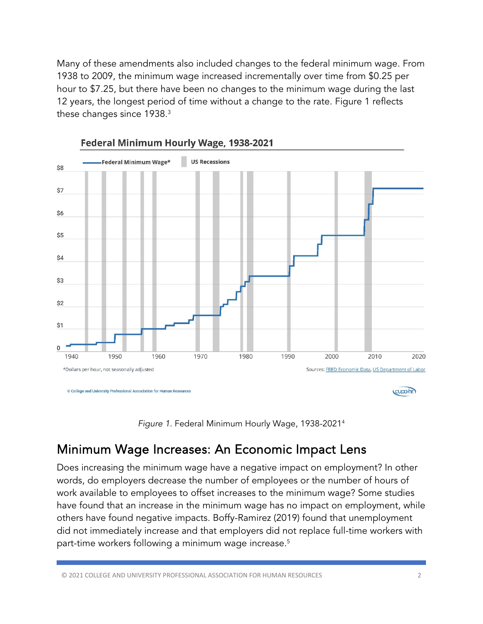Many of these amendments also included changes to the federal minimum wage. From 1938 to 2009, the minimum wage increased incrementally over time from \$0.25 per hour to \$7.25, but there have been no changes to the minimum wage during the last 12 years, the longest period of time without a change to the rate. Figure 1 reflects these changes since 1938. 3



Federal Minimum Hourly Wage, 1938-2021

*Figure 1.* Federal Minimum Hourly Wage, 1938-20214

### Minimum Wage Increases: An Economic Impact Lens

Does increasing the minimum wage have a negative impact on employment? In other words, do employers decrease the number of employees or the number of hours of work available to employees to offset increases to the minimum wage? Some studies have found that an increase in the minimum wage has no impact on employment, while others have found negative impacts. Boffy-Ramirez (2019) found that unemployment did not immediately increase and that employers did not replace full-time workers with part-time workers following a minimum wage increase. 5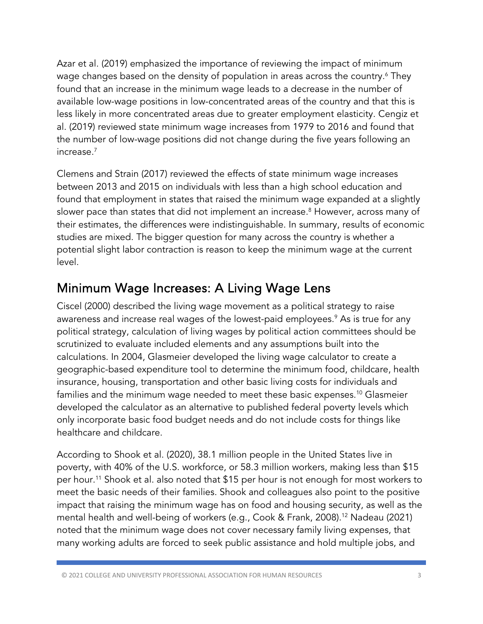Azar et al. (2019) emphasized the importance of reviewing the impact of minimum wage changes based on the density of population in areas across the country. <sup>6</sup> They found that an increase in the minimum wage leads to a decrease in the number of available low-wage positions in low-concentrated areas of the country and that this is less likely in more concentrated areas due to greater employment elasticity. Cengiz et al. (2019) reviewed state minimum wage increases from 1979 to 2016 and found that the number of low-wage positions did not change during the five years following an increase.7

Clemens and Strain (2017) reviewed the effects of state minimum wage increases between 2013 and 2015 on individuals with less than a high school education and found that employment in states that raised the minimum wage expanded at a slightly slower pace than states that did not implement an increase. <sup>8</sup> However, across many of their estimates, the differences were indistinguishable. In summary, results of economic studies are mixed. The bigger question for many across the country is whether a potential slight labor contraction is reason to keep the minimum wage at the current level.

#### Minimum Wage Increases: A Living Wage Lens

Ciscel (2000) described the living wage movement as a political strategy to raise awareness and increase real wages of the lowest-paid employees.<sup>9</sup> As is true for any political strategy, calculation of living wages by political action committees should be scrutinized to evaluate included elements and any assumptions built into the calculations. In 2004, Glasmeier developed the living wage calculator to create a geographic-based expenditure tool to determine the minimum food, childcare, health insurance, housing, transportation and other basic living costs for individuals and families and the minimum wage needed to meet these basic expenses.<sup>10</sup> Glasmeier developed the calculator as an alternative to published federal poverty levels which only incorporate basic food budget needs and do not include costs for things like healthcare and childcare.

According to Shook et al. (2020), 38.1 million people in the United States live in poverty, with 40% of the U.S. workforce, or 58.3 million workers, making less than \$15 per hour.11 Shook et al. also noted that \$15 per hour is not enough for most workers to meet the basic needs of their families. Shook and colleagues also point to the positive impact that raising the minimum wage has on food and housing security, as well as the mental health and well-being of workers (e.g., Cook & Frank, 2008). <sup>12</sup> Nadeau (2021) noted that the minimum wage does not cover necessary family living expenses, that many working adults are forced to seek public assistance and hold multiple jobs, and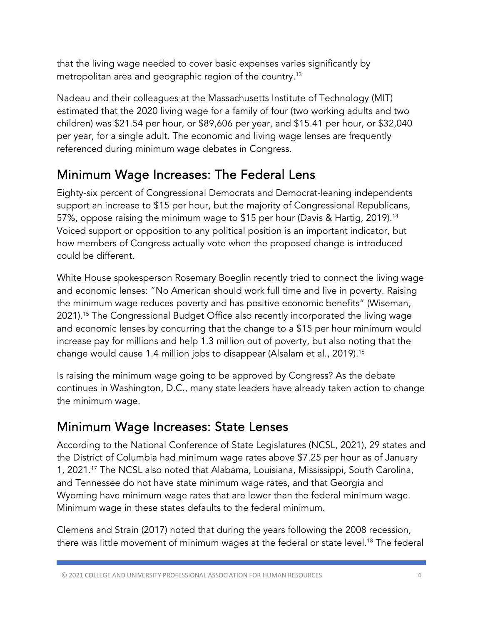that the living wage needed to cover basic expenses varies significantly by metropolitan area and geographic region of the country.<sup>13</sup>

Nadeau and their colleagues at the Massachusetts Institute of Technology (MIT) estimated that the 2020 living wage for a family of four (two working adults and two children) was \$21.54 per hour, or \$89,606 per year, and \$15.41 per hour, or \$32,040 per year, for a single adult. The economic and living wage lenses are frequently referenced during minimum wage debates in Congress.

#### Minimum Wage Increases: The Federal Lens

Eighty-six percent of Congressional Democrats and Democrat-leaning independents support an increase to \$15 per hour, but the majority of Congressional Republicans, 57%, oppose raising the minimum wage to \$15 per hour (Davis & Hartig, 2019).<sup>14</sup> Voiced support or opposition to any political position is an important indicator, but how members of Congress actually vote when the proposed change is introduced could be different.

White House spokesperson Rosemary Boeglin recently tried to connect the living wage and economic lenses: "No American should work full time and live in poverty. Raising the minimum wage reduces poverty and has positive economic benefits" (Wiseman, 2021). <sup>15</sup> The Congressional Budget Office also recently incorporated the living wage and economic lenses by concurring that the change to a \$15 per hour minimum would increase pay for millions and help 1.3 million out of poverty, but also noting that the change would cause 1.4 million jobs to disappear (Alsalam et al., 2019). 16

Is raising the minimum wage going to be approved by Congress? As the debate continues in Washington, D.C., many state leaders have already taken action to change the minimum wage.

### Minimum Wage Increases: State Lenses

According to the National Conference of State Legislatures (NCSL, 2021), 29 states and the District of Columbia had minimum wage rates above \$7.25 per hour as of January 1, 2021.17 The NCSL also noted that Alabama, Louisiana, Mississippi, South Carolina, and Tennessee do not have state minimum wage rates, and that Georgia and Wyoming have minimum wage rates that are lower than the federal minimum wage. Minimum wage in these states defaults to the federal minimum.

Clemens and Strain (2017) noted that during the years following the 2008 recession, there was little movement of minimum wages at the federal or state level.<sup>18</sup> The federal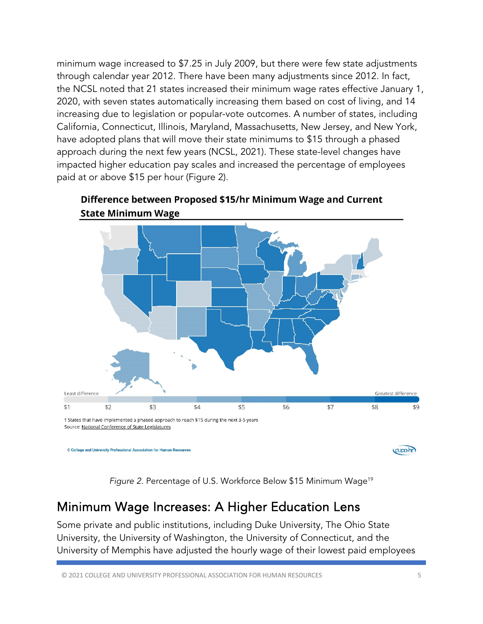minimum wage increased to \$7.25 in July 2009, but there were few state adjustments through calendar year 2012. There have been many adjustments since 2012. In fact, the NCSL noted that 21 states increased their minimum wage rates effective January 1, 2020, with seven states automatically increasing them based on cost of living, and 14 increasing due to legislation or popular-vote outcomes. A number of states, including California, Connecticut, Illinois, Maryland, Massachusetts, New Jersey, and New York, have adopted plans that will move their state minimums to \$15 through a phased approach during the next few years (NCSL, 2021). These state-level changes have impacted higher education pay scales and increased the percentage of employees paid at or above \$15 per hour (Figure 2).





Figure 2. Percentage of U.S. Workforce Below \$15 Minimum Wage<sup>19</sup>

#### Minimum Wage Increases: A Higher Education Lens

Some private and public institutions, including Duke University, The Ohio State University, the University of Washington, the University of Connecticut, and the University of Memphis have adjusted the hourly wage of their lowest paid employees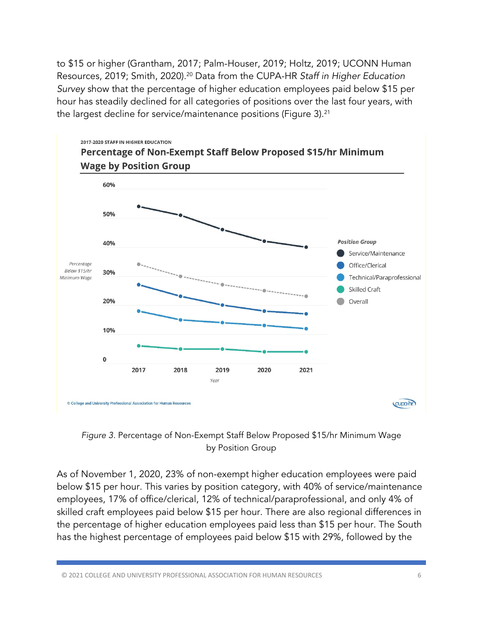to \$15 or higher (Grantham, 2017; Palm-Houser, 2019; Holtz, 2019; UCONN Human Resources, 2019; Smith, 2020).20 Data from the CUPA-HR *Staff in Higher Education Survey* show that the percentage of higher education employees paid below \$15 per hour has steadily declined for all categories of positions over the last four years, with the largest decline for service/maintenance positions (Figure 3). 21



2017-2020 STAFF IN HIGHER EDUCATION Percentage of Non-Exempt Staff Below Proposed \$15/hr Minimum



As of November 1, 2020, 23% of non-exempt higher education employees were paid below \$15 per hour. This varies by position category, with 40% of service/maintenance employees, 17% of office/clerical, 12% of technical/paraprofessional, and only 4% of skilled craft employees paid below \$15 per hour. There are also regional differences in the percentage of higher education employees paid less than \$15 per hour. The South has the highest percentage of employees paid below \$15 with 29%, followed by the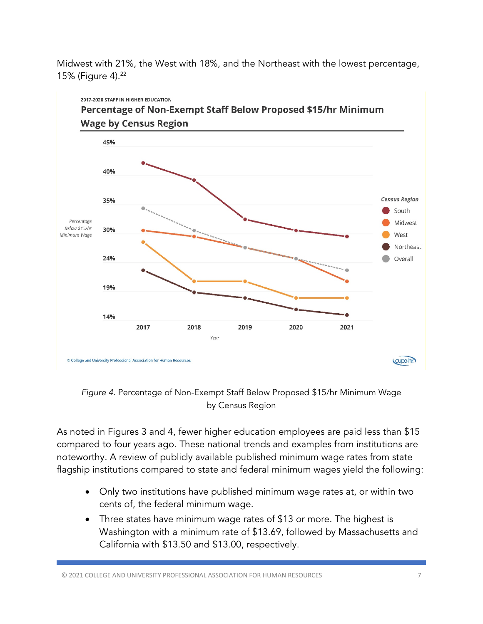Midwest with 21%, the West with 18%, and the Northeast with the lowest percentage, 15% (Figure 4).22



2017-2020 STAFF IN HIGHER EDUCATION Percentage of Non-Exempt Staff Below Proposed \$15/hr Minimum

*Figure 4.* Percentage of Non-Exempt Staff Below Proposed \$15/hr Minimum Wage by Census Region

As noted in Figures 3 and 4, fewer higher education employees are paid less than \$15 compared to four years ago. These national trends and examples from institutions are noteworthy. A review of publicly available published minimum wage rates from state flagship institutions compared to state and federal minimum wages yield the following:

- Only two institutions have published minimum wage rates at, or within two cents of, the federal minimum wage.
- Three states have minimum wage rates of \$13 or more. The highest is Washington with a minimum rate of \$13.69, followed by Massachusetts and California with \$13.50 and \$13.00, respectively.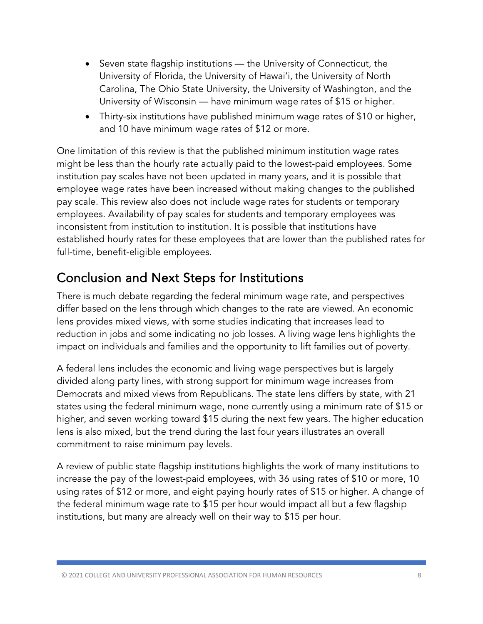- Seven state flagship institutions the University of Connecticut, the University of Florida, the University of Hawai'i, the University of North Carolina, The Ohio State University, the University of Washington, and the University of Wisconsin — have minimum wage rates of \$15 or higher.
- Thirty-six institutions have published minimum wage rates of \$10 or higher, and 10 have minimum wage rates of \$12 or more.

One limitation of this review is that the published minimum institution wage rates might be less than the hourly rate actually paid to the lowest-paid employees. Some institution pay scales have not been updated in many years, and it is possible that employee wage rates have been increased without making changes to the published pay scale. This review also does not include wage rates for students or temporary employees. Availability of pay scales for students and temporary employees was inconsistent from institution to institution. It is possible that institutions have established hourly rates for these employees that are lower than the published rates for full-time, benefit-eligible employees.

## Conclusion and Next Steps for Institutions

There is much debate regarding the federal minimum wage rate, and perspectives differ based on the lens through which changes to the rate are viewed. An economic lens provides mixed views, with some studies indicating that increases lead to reduction in jobs and some indicating no job losses. A living wage lens highlights the impact on individuals and families and the opportunity to lift families out of poverty.

A federal lens includes the economic and living wage perspectives but is largely divided along party lines, with strong support for minimum wage increases from Democrats and mixed views from Republicans. The state lens differs by state, with 21 states using the federal minimum wage, none currently using a minimum rate of \$15 or higher, and seven working toward \$15 during the next few years. The higher education lens is also mixed, but the trend during the last four years illustrates an overall commitment to raise minimum pay levels.

A review of public state flagship institutions highlights the work of many institutions to increase the pay of the lowest-paid employees, with 36 using rates of \$10 or more, 10 using rates of \$12 or more, and eight paying hourly rates of \$15 or higher. A change of the federal minimum wage rate to \$15 per hour would impact all but a few flagship institutions, but many are already well on their way to \$15 per hour.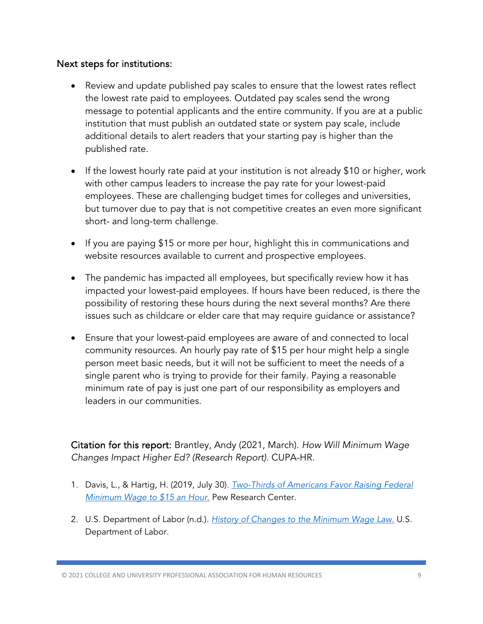#### Next steps for institutions:

- Review and update published pay scales to ensure that the lowest rates reflect the lowest rate paid to employees. Outdated pay scales send the wrong message to potential applicants and the entire community. If you are at a public institution that must publish an outdated state or system pay scale, include additional details to alert readers that your starting pay is higher than the published rate.
- If the lowest hourly rate paid at your institution is not already \$10 or higher, work with other campus leaders to increase the pay rate for your lowest-paid employees. These are challenging budget times for colleges and universities, but turnover due to pay that is not competitive creates an even more significant short- and long-term challenge.
- If you are paying \$15 or more per hour, highlight this in communications and website resources available to current and prospective employees.
- The pandemic has impacted all employees, but specifically review how it has impacted your lowest-paid employees. If hours have been reduced, is there the possibility of restoring these hours during the next several months? Are there issues such as childcare or elder care that may require guidance or assistance?
- Ensure that your lowest-paid employees are aware of and connected to local community resources. An hourly pay rate of \$15 per hour might help a single person meet basic needs, but it will not be sufficient to meet the needs of a single parent who is trying to provide for their family. Paying a reasonable minimum rate of pay is just one part of our responsibility as employers and leaders in our communities.

Citation for this report: Brantley, Andy (2021, March). *How Will Minimum Wage Changes Impact Higher Ed? (Research Report)*. CUPA-HR.

- 1. Davis, L., & Hartig, H. (2019, July 30). *[Two-Thirds of Americans Favor Raising Federal](https://www.pewresearch.org/fact-tank/2019/07/30/two-thirds-of-americans-favor-raising-federal-minimum-wage-to-15-an-hour/)  [Minimum Wage to \\$15 an Hour.](https://www.pewresearch.org/fact-tank/2019/07/30/two-thirds-of-americans-favor-raising-federal-minimum-wage-to-15-an-hour/)* Pew Research Center.
- 2. U.S. Department of Labor (n.d.). *[History of Changes to the Minimum Wage Law.](https://www.dol.gov/agencies/whd/minimum-wage/history)* U.S. Department of Labor.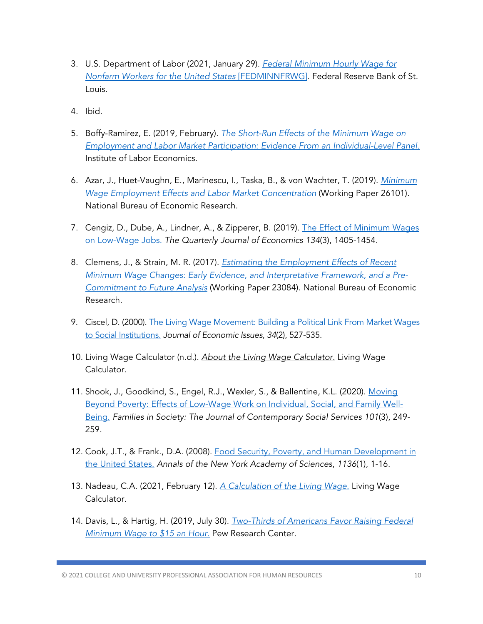- 3. U.S. Department of Labor (2021, January 29). *[Federal Minimum Hourly Wage for](https://fred.stlouisfed.org/series/FEDMINNFRWG)  [Nonfarm Workers for the United States](https://fred.stlouisfed.org/series/FEDMINNFRWG)* [FEDMINNFRWG]. Federal Reserve Bank of St. Louis.
- 4. Ibid.
- 5. Boffy-Ramirez, E. (2019, February). *[The Short-Run Effects of the Minimum Wage on](https://www.iza.org/publications/dp/12137/the-short-run-effects-of-the-minimum-wage-on-employment-and-labor-market-participation-evidence-from-an-individual-level-panel)  [Employment and Labor Market Participation: Evidence From an Individual-Level Panel.](https://www.iza.org/publications/dp/12137/the-short-run-effects-of-the-minimum-wage-on-employment-and-labor-market-participation-evidence-from-an-individual-level-panel)* Institute of Labor Economics.
- 6. Azar, J., Huet-Vaughn, E., Marinescu, I., Taska, B., & von Wachter, T. (2019). *[Minimum](https://www.nber.org/papers/w26101)  [Wage Employment Effects and Labor Market Concentration](https://www.nber.org/papers/w26101)* (Working Paper 26101). National Bureau of Economic Research*.*
- 7. Cengiz, D., Dube, A., Lindner, A., & Zipperer, B. (2019). The Effect of Minimum Wages [on Low-Wage Jobs.](https://doi.org/10.1093/qje/qjz014) *The Quarterly Journal of Economics 134*(3), 1405-1454.
- 8. Clemens, J., & Strain, M. R. (2017). *[Estimating the Employment Effects of Recent](https://www.nber.org/papers/w23084)  [Minimum Wage Changes: Early Evidence, and Interpretative Framework, and a](https://www.nber.org/papers/w23084) Pre-[Commitment to Future Analysis](https://www.nber.org/papers/w23084)* (Working Paper 23084). National Bureau of Economic Research.
- 9. Ciscel, D. (2000). [The Living Wage Movement: Building a Political Link From Market Wages](http://www.jstor.org/stable/4227582)  [to Social Institutions.](http://www.jstor.org/stable/4227582) *Journal of Economic Issues, 34*(2), 527-535.
- 10. Living Wage Calculator (n.d.). *[About the Living Wage Calculator.](https://livingwage.mit.edu/pages/about)* Living Wage Calculator.
- 11. Shook, J., Goodkind, S., Engel, R.J., Wexler, S., & Ballentine, K.L. (2020). [Moving](https://doi.org/10.1177/1044389420923473)  [Beyond Poverty: Effects of Low-Wage Work on Individual, Social, and Family Well-](https://doi.org/10.1177/1044389420923473)[Being.](https://doi.org/10.1177/1044389420923473) *Families in Society: The Journal of Contemporary Social Services 101*(3), 249- 259.
- 12. Cook, J.T., & Frank., D.A. (2008). [Food Security, Poverty, and Human Development in](https://doi.org/10.1196/annals.1425.001)  [the United States.](https://doi.org/10.1196/annals.1425.001) *Annals of the New York Academy of Sciences*, *1136*(1), 1-16.
- 13. Nadeau, C.A. (2021, February 12). *[A Calculation of the Living Wage.](https://livingwage.mit.edu/articles/61-new-living-wage-data-for-now-available-on-the-tool)* Living Wage Calculator.
- 14. Davis, L., & Hartig, H. (2019, July 30). *[Two-Thirds of Americans Favor Raising Federal](https://www.pewresearch.org/fact-tank/2019/07/30/two-thirds-of-americans-favor-raising-federal-minimum-wage-to-15-an-hour/)  [Minimum Wage to \\$15 an Hour.](https://www.pewresearch.org/fact-tank/2019/07/30/two-thirds-of-americans-favor-raising-federal-minimum-wage-to-15-an-hour/)* Pew Research Center.

<sup>© 2021</sup> COLLEGE AND UNIVERSITY PROFESSIONAL ASSOCIATION FOR HUMAN RESOURCES 10